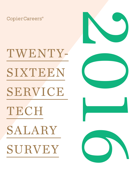CopierCareers®



# TWENTY-SIXTEEN SERVICE TECH SALARY SURVEY





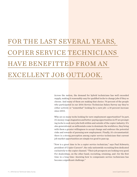# FOR THE LAST SEVERAL YEARS, COPIER SERVICE TECHNICIANS HAVE BENEFITTED FROM AN EXCELLENT JOB OUTLOOK.

Across the nation, the demand for hybrid technicians has well exceeded supply, making it reasonably easy for qualified techs to change jobs if they so choose. And many of them are making that choice: 70 percent of the people who participated in our 2016 Service Technician Salary Survey say they're either actively or "somewhat" looking for a new job-a 10 percent increase since 2015.

Why are so many techs looking for new employment opportunities? In part, it's money: wage stagnation and better-paying opportunities in IT are prompting techs to seek new jobs both within and outside of the copier industry. It's also generational: as millennials come to dominate the workforce, they bring with them a greater willingness to accept change and embrace the potential risks and rewards of pursuing new employment. Finally, it's circumstantial: there is a strong perception among copier service technicians that current job market opportunities are simply too good to pass up.

"Now is a great time to be a copier service technician," says Paul Schwartz, president of Copier Careers®, the only nationwide recruiting firm dedicated exclusively to the copier channel. "Their job prospects are looking very good. For dealerships, on the other hand, recruiting, retaining, and—for the first time in a long time—knowing how to compensate service technicians has become a significant challenge."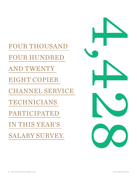FOUR THOUSAND FOUR HUNDRED AND TWENTY EIGHT COPIER CHANNEL SERVICE TECHNICIANS PARTICIPATED IN THIS YEAR'S SALARY SURVEY.

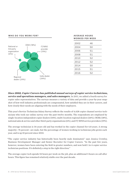

| <b>AVERAGE HOURS</b><br>WORKED PER WEEK |    |  |
|-----------------------------------------|----|--|
| 2002                                    | 46 |  |
| 2004                                    | 50 |  |
| 2006                                    | 51 |  |
| 2008                                    | 51 |  |
| 2010                                    | 52 |  |
| 2012                                    | 52 |  |
| 2014                                    | 50 |  |
| 2015                                    | 51 |  |
| 2016                                    | 52 |  |
|                                         |    |  |

*Since 2002, Copier Careers has published annual surveys of copier service technicians, service and operations managers, and sales managers.* In 2011, we added a fourth survey for copier sales representatives. The surveys measure a variety of data and provide a year-by-year snapshot of how well industry professionals are compensated, how satisfied they are in their careers, and how closely their needs are aligning with the needs of their employers.

This year's Service Technician Salary Survey reflects the results of 4,428 copier channel service technicians who took our online survey over the past twelve months. The respondents are employed by single-location independent copier dealers (34%), multi-location regional dealers (24%), OEMs (18%), national sales & service and other third-party organizations (6%), and IT/MNS service providers (19%).

The average technician is 34 years old and has worked in the copier channel for 6.8 years. A strong majority—76 percent—are male, but the percentage of women working in technician jobs grows each year, and is up 10 percent since 2010.

"The copier service industry has historically been heavily male dominated," says Jessica Crowley, Business Development Manager and Senior Recruiter for Copier Careers. "In the past few years, however, women have been entering the field in greater numbers, and now hold 1 in 4 copier service technician positions. It's definitely a step in the right direction."

The average copier tech spends 52 hours per week on the job, plus an additional 5 hours on call after hours. This figure has remained relatively stable over the past decade.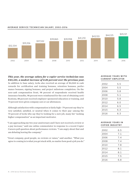

#### **AVERAGE SERVICE TECHNICIAN SALARY, 2002–2016**

*This year, the average salary for a copier service technician was \$45,121, a modest increase of 2.26 percent over the previous year.* In addition to base salary, techs also received an average of \$6,068 in cash rewards for certification and training bonuses, retention bonuses, performance bonuses, signing bonuses, and project milestone completion. On the non-cash compensation front, 98 percent of respondents received health insurance benefits, 98 percent were reimbursed for the cost of obtaining certifications, 88 percent received employer-sponsored education or training, and 73 percent were given company cars or car allowances.

Although satisfaction with compensation is fairly high—79 percent say they're very satisfied, satisfied, or neutral when it comes to their pay—among the 70 percent of techs who say they're looking for a new job, many list "seeking higher compensation" as an important motivator.

"I am approaching my two year anniversary and I have not received a review or a pay increase," said one online commentator in response to a recent Copier Careers poll question about performance reviews. "I am angry about that and am debating leaving the company."

"Great company, good people, no reviews or raises," said another. "What you agree to coming in is what you get stuck with, no matter how good a job you do."

#### **AVERAGE YEARS WITH CURRENT EMPLOYER**

| 2002 | 5.5 |  |
|------|-----|--|
| 2004 | 5.5 |  |
| 2006 | 5.8 |  |
| 2008 | 5.1 |  |
| 2010 | 5.8 |  |
| 2012 | 6.0 |  |
| 2014 | 6.5 |  |
| 2015 | 6.3 |  |
| 2016 | 6.3 |  |

#### **AVERAGE YEARS IN COPIER INDUSTRY**

| 2002 | 6.5 |
|------|-----|
| 2004 | 7.1 |
| 2006 | 7.4 |
| 2008 | 7.4 |
| 2010 | 7.8 |
| 2012 | 8.1 |
| 2014 | 8.1 |
| 2015 | 7.5 |
| 2016 | 6.8 |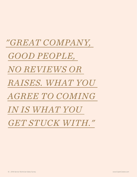# *"GREAT COMPANY, GOOD PEOPLE, NO REVIEWS OR RAISES. WHAT YOU AGREE TO COMING IN IS WHAT YOU GET STUCK WITH."*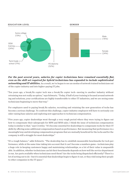

#### *For the past several years, salaries for copier technicians have remained essentially flat, even as the skill set required for hybrid technicians has expanded to include sophisticated networking and IT abilities.* As a result, we've begun to see an exodus of network trained technicians out of the copier industry and into higher-paying IT jobs.

"Ten years ago, a break/fix copier tech was a break/fix copier tech—moving to another industry without retraining was not really an option," says Schwartz. "Today, if half of your training is focused around networking and solutions, your certifications are highly transferrable to other IT industries, and we are seeing some technicians beginning to move that way."

For employers used to paying break/fix salaries, recruiting and retaining the new generation of techs has become a serious challenge. To confront this challenge, copier industry employers will have to seriously consider raising base salaries and exploring new approaches to technician compensation.

"Five years ago, copier dealerships went through a very rough period where they were trying to figure out how to compensate their salespeople for MPS and MNS sales. I think the issue of technician compensation today is similar to that," says Crowley. "It's become essential for dealerships to compensate techs for their IT skills by offering some additional compensation based on performance. But measuring that performance in a meaningful way and developing compensation programs that are mutually beneficial for the techs and for the company is still a struggle for most dealerships."

"It's a tough balance," adds Schwartz. "The dealership has to establish measurable benchmarks for tech performance, while at the same time taking into account that it can't become a numbers game—technicians play a huge role in keeping customers happy and maintaining relationships, so a lot of their value is unquantifiable. In addition, whether technicians can hit their benchmarks depends on how well the service department is run. Are parts available when technicians need them? Are the techs being dispatched efficiently? There's a lot of sorting out to do—but it's essential that dealerships begin to figure it out, or they risk losing their people to other companies in the IT space."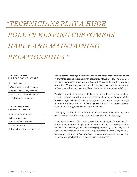# *"TECHNICIANS PLAY A HUGE ROLE IN KEEPING CUSTOMERS HAPPY AND MAINTAINING RELATIONSHIPS."*

#### **TOP NON-CASH/ INDIRECT CASH REWARDS**

- 1. Health benefits
- 2. Certification remibursement
- 3. Further education/training
- 4. Company car/car allowance
- 5. Tuition reimbursement

#### **TOP REASONS FOR EARNING BONUSES**

- 1. Certification/training
- 2. Retention bonus
- 3. Personal performance
- 4. Signing bonus
- 5. Project milestone completion

*When asked which job-related issues are most important to them, technicians frequently answer in terms of technology.* Working for a company that understands the importance of IT, having the ability to work on innovative IT solutions, working with leading-edge tech, and having continued opportunities to learn new skills are significant factors in job satisfaction.

For the tenured techs who have failed to keep their skill sets up to date, these survey responses should serve as a warning to shape up or ship out. While break/fix copier skills will always be required, they are no longer enough: understanding the software and keeping up with its rapid progress are essential to maintaining your relevance in this industry.

For employers, this should serve as an imperative to embrace technology and invest in continued education as a recruiting and retention strategy.

"While learning new skills can be stressful for some types of employees, for the younger generation of hybrid technicians, it's exciting," Crowley explains. "They find it rewarding to work with emerging technologies, and they'll seek out employers who can give them the opportunity to do that. They will also leave employers who can't or won't provide ongoing training, because they realize how important it is to stay on top of their game."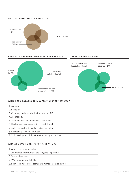#### **ARE YOU LOOKING FOR A NEW JOB?**



**SATISFACTION WITH COMPENSATION PACKAGE OVERALL SATISFACTION**







#### WHICH JOB-RELATED ISSUES MATTER MOST TO YOU?

- 1. Benefits
- 2. Base pay
- 3. Company understands the importance of IT
- 4. Job stability
- 5. Ability to work on innovative IT solutions
- 6. Having tools and support to do my job well
- 7. Ability to work with leading-edge technology
- 8. Company-provided computer
- 9. Skill development/education/training opportunities

#### WHY ARE YOU LOOKING FOR A NEW JOB?

- 1. Want higher compensation
- 2. Job market opportunities are too good to pass up
- 3. Seeking less stress
- 4. Want greater job stability
- 5. I don't like my current company's management or culture